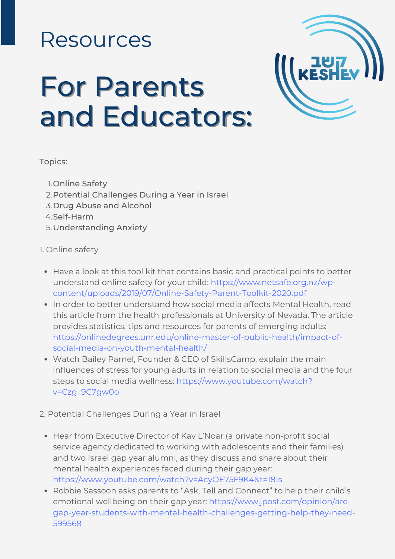# Resources

# For Parents and Educators:



#### Topics:

- 1. Online Safety
- 2. Potential Challenges During a Year in Israel
- 3. Drug Abuse and Alcohol
- 4. Self-Harm
- Understanding Anxiety 5.

## 1. Online safety

- Have a look at this tool kit that contains basic and practical points to better understand online safety for your child: https://www.netsafe.org.nz/wp[content/uploads/2019/07/Online-Safety-Parent-Toolkit-2020.pdf](https://www.netsafe.org.nz/wp-content/uploads/2019/07/Online-Safety-Parent-Toolkit-2020.pdf)
- In order to better understand how social media affects Mental Health, read this article from the health professionals at University of Nevada. The article provides statistics, tips and resources for parents of emerging adults: [https://onlinedegrees.unr.edu/online-master-of-public-health/impact-of](https://onlinedegrees.unr.edu/online-master-of-public-health/impact-of-social-media-on-youth-mental-health/)social-media-on-youth-mental-health/
- Watch Bailey Parnel, Founder & CEO of SkillsCamp, explain the main influences of stress for young adults in relation to social media and the four steps to social media wellness: [https://www.youtube.com/watch?](https://www.youtube.com/watch?v=Czg_9C7gw0o) v=Czg\_9C7gw0o
- 2. Potential Challenges During a Year in Israel
	- Hear from Executive Director of Kav L'Noar (a private non-profit social service agency dedicated to working with adolescents and their families) and two Israel gap year alumni, as they discuss and share about their mental health experiences faced during their gap year: <https://www.youtube.com/watch?v=AcyOE75F9K4&t=181s>
	- Robbie Sassoon asks parents to "Ask, Tell and Connect" to help their child's emotional wellbeing on their gap year: https://www.jpost.com/opinion/are[gap-year-students-with-mental-health-challenges-getting-help-they-need-](https://www.jpost.com/opinion/are-gap-year-students-with-mental-health-challenges-getting-help-they-need-599568)599568